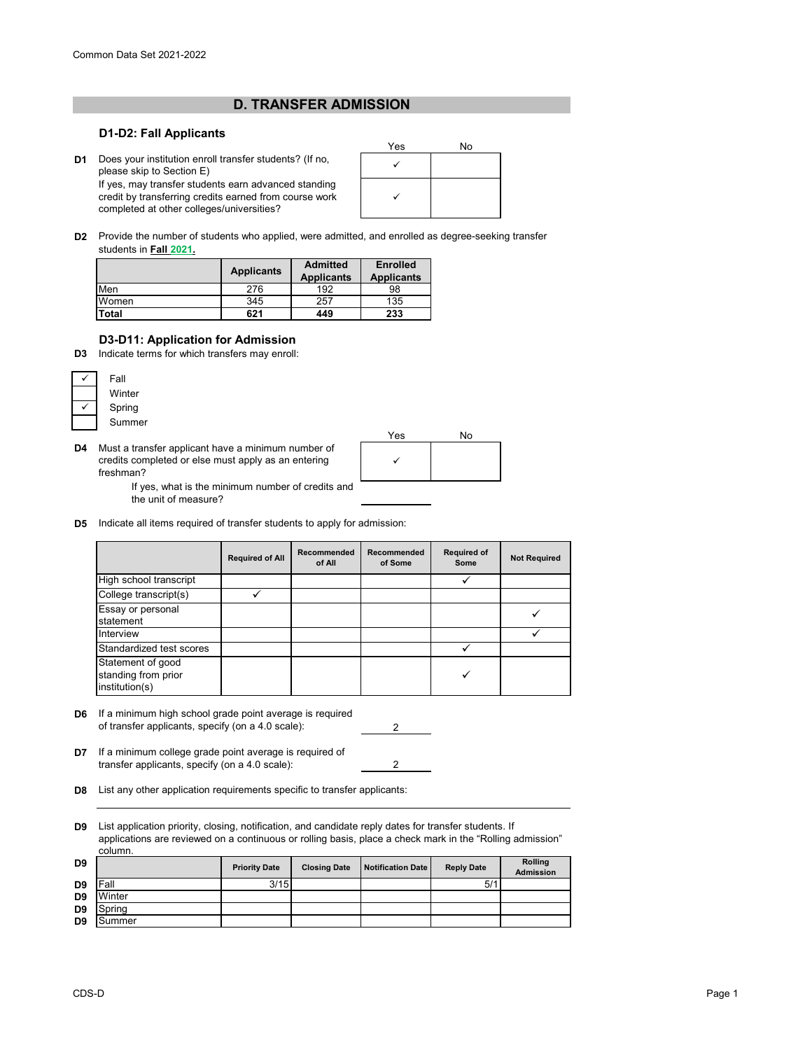## **D. TRANSFER ADMISSION**

## **D1-D2: Fall Applicants**

**D1** Does your institution enroll transfer students? (If no,<br>Diegse skip to Section E) please skip to Section E) If yes, may transfer students earn advanced standing

completed at other colleges/universities?

credit by transferring credits earned from course work



**D2** Provide the number of students who applied, were admitted, and enrolled as degree-seeking transfer students in **Fall 2021.**

|       | <b>Applicants</b> | <b>Admitted</b><br><b>Applicants</b> | <b>Enrolled</b><br><b>Applicants</b> |  |
|-------|-------------------|--------------------------------------|--------------------------------------|--|
| Men   | 276               | 192                                  | 98                                   |  |
| Women | 345               | 257                                  | 135                                  |  |
| Total | 621               | 449                                  | 233                                  |  |

## **D3-D11: Application for Admission**

**D3** Indicate terms for which transfers may enroll:



**D4** Must a transfer applicant have a minimum number of credits completed or else must apply as an entering freshman?



If yes, what is the minimum number of credits and the unit of measure?

**D5** Indicate all items required of transfer students to apply for admission:

|                                                            | <b>Required of All</b> | Recommended<br>of All | Recommended<br>of Some | <b>Required of</b><br>Some | <b>Not Required</b> |
|------------------------------------------------------------|------------------------|-----------------------|------------------------|----------------------------|---------------------|
| High school transcript                                     |                        |                       |                        |                            |                     |
| College transcript(s)                                      |                        |                       |                        |                            |                     |
| Essay or personal<br>statement                             |                        |                       |                        |                            |                     |
| Interview                                                  |                        |                       |                        |                            |                     |
| Standardized test scores                                   |                        |                       |                        |                            |                     |
| Statement of good<br>standing from prior<br>institution(s) |                        |                       |                        |                            |                     |

**D6** 2 If a minimum high school grade point average is required of transfer applicants, specify (on a 4.0 scale):

2

**D7** If a minimum college grade point average is required of transfer applicants, specify (on a 4.0 scale):

**D8** List any other application requirements specific to transfer applicants:

**D9** List application priority, closing, notification, and candidate reply dates for transfer students. If applications are reviewed on a continuous or rolling basis, place a check mark in the "Rolling admission" column.

| D <sub>9</sub> |        | <b>Priority Date</b> | <b>Closing Date</b> | <b>Notification Date</b> | <b>Reply Date</b> | Rolling<br><b>Admission</b> |
|----------------|--------|----------------------|---------------------|--------------------------|-------------------|-----------------------------|
| D <sub>9</sub> | Fall   | 3/15                 |                     |                          | 5/1               |                             |
| D <sub>9</sub> | Winter |                      |                     |                          |                   |                             |
| D <sub>9</sub> | Spring |                      |                     |                          |                   |                             |
| D <sub>9</sub> | Summer |                      |                     |                          |                   |                             |